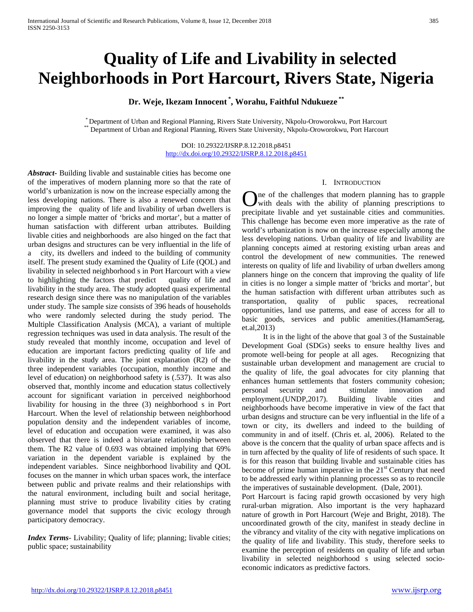# **Quality of Life and Livability in selected Neighborhoods in Port Harcourt, Rivers State, Nigeria**

**Dr. Weje, Ikezam Innocent \* , Worahu, Faithful Ndukueze \*\***

\* Department of Urban and Regional Planning, Rivers State University, Nkpolu-Oroworokwu, Port Harcourt \*\* Department of Urban and Regional Planning, Rivers State University, Nkpolu-Oroworokwu, Port Harcourt

DOI: 10.29322/IJSRP.8.12.2018.p8451 <http://dx.doi.org/10.29322/IJSRP.8.12.2018.p8451>

*Abstract***-** Building livable and sustainable cities has become one of the imperatives of modern planning more so that the rate of world's urbanization is now on the increase especially among the less developing nations. There is also a renewed concern that improving the quality of life and livability of urban dwellers is no longer a simple matter of 'bricks and mortar', but a matter of human satisfaction with different urban attributes. Building livable cities and neighborhoods are also hinged on the fact that urban designs and structures can be very influential in the life of a city, its dwellers and indeed to the building of community itself. The present study examined the Quality of Life (QOL) and livability in selected neighborhood s in Port Harcourt with a view to highlighting the factors that predict quality of life and livability in the study area. The study adopted quasi experimental research design since there was no manipulation of the variables under study. The sample size consists of 396 heads of households who were randomly selected during the study period. The Multiple Classification Analysis (MCA), a variant of multiple regression techniques was used in data analysis. The result of the study revealed that monthly income, occupation and level of education are important factors predicting quality of life and livability in the study area. The joint explanation (R2) of the three independent variables (occupation, monthly income and level of education) on neighborhood safety is (.537). It was also observed that, monthly income and education status collectively account for significant variation in perceived neighborhood livability for housing in the three (3) neighborhood s in Port Harcourt. When the level of relationship between neighborhood population density and the independent variables of income, level of education and occupation were examined, it was also observed that there is indeed a bivariate relationship between them. The R2 value of 0.693 was obtained implying that 69% variation in the dependent variable is explained by the independent variables. Since neighborhood livability and QOL focuses on the manner in which urban spaces work, the interface between public and private realms and their relationships with the natural environment, including built and social heritage, planning must strive to produce livability cities by crating governance model that supports the civic ecology through participatory democracy.

*Index Terms*- Livability; Quality of life; planning; livable cities; public space; sustainability

## I. INTRODUCTION

ne of the challenges that modern planning has to grapple with deals with the ability of planning prescriptions to **O**ne of the challenges that modern planning has to grapple with deals with the ability of planning prescriptions to precipitate livable and yet sustainable cities and communities. This challenge has become even more imperative as the rate of world's urbanization is now on the increase especially among the less developing nations. Urban quality of life and livability are planning concepts aimed at restoring existing urban areas and control the development of new communities. The renewed interests on quality of life and livability of urban dwellers among planners hinge on the concern that improving the quality of life in cities is no longer a simple matter of 'bricks and mortar', but the human satisfaction with different urban attributes such as transportation, quality of public spaces, recreational opportunities, land use patterns, and ease of access for all to basic goods, services and public amenities.(HamamSerag, et.al,2013)

 It is in the light of the above that goal 3 of the Sustainable Development Goal (SDGs) seeks to ensure healthy lives and promote well-being for people at all ages. Recognizing that sustainable urban development and management are crucial to the quality of life, the goal advocates for city planning that enhances human settlements that fosters community cohesion; personal security and stimulate innovation and employment.(UNDP,2017). Building livable cities and neighborhoods have become imperative in view of the fact that urban designs and structure can be very influential in the life of a town or city, its dwellers and indeed to the building of community in and of itself. (Chris et. al, 2006). Related to the above is the concern that the quality of urban space affects and is in turn affected by the quality of life of residents of such space. It is for this reason that building livable and sustainable cities has become of prime human imperative in the  $21<sup>st</sup>$  Century that need to be addressed early within planning processes so as to reconcile the imperatives of sustainable development. (Dale, 2001).

Port Harcourt is facing rapid growth occasioned by very high rural-urban migration. Also important is the very haphazard nature of growth in Port Harcourt (Weje and Bright, 2018). The uncoordinated growth of the city, manifest in steady decline in the vibrancy and vitality of the city with negative implications on the quality of life and livability. This study, therefore seeks to examine the perception of residents on quality of life and urban livability in selected neighborhood s using selected socioeconomic indicators as predictive factors.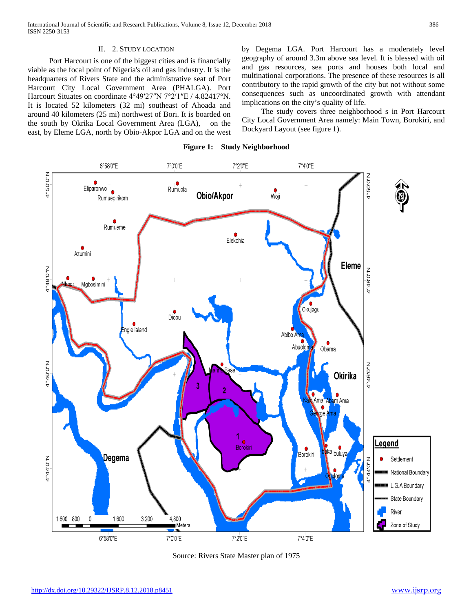## II. 2. STUDY LOCATION

 Port Harcourt is one of the biggest cities and is financially viable as the focal point of Nigeria's oil and gas industry. It is the headquarters of Rivers State and the administrative seat of Port Harcourt City Local Government Area (PHALGA). Port Harcourt Situates on coordinate 4°49′27″N 7°2′1″E / 4.82417°N. It is located 52 kilometers (32 mi) southeast of Ahoada and around 40 kilometers (25 mi) northwest of Bori. It is boarded on the south by Okrika Local Government Area (LGA), on the east, by Eleme LGA, north by Obio-Akpor LGA and on the west by Degema LGA. Port Harcourt has a moderately level geography of around 3.3m above sea level. It is blessed with oil and gas resources, sea ports and houses both local and multinational corporations. The presence of these resources is all contributory to the rapid growth of the city but not without some consequences such as uncoordinated growth with attendant implications on the city's quality of life.

 The study covers three neighborhood s in Port Harcourt City Local Government Area namely: Main Town, Borokiri, and Dockyard Layout (see figure 1).





Source: Rivers State Master plan of 1975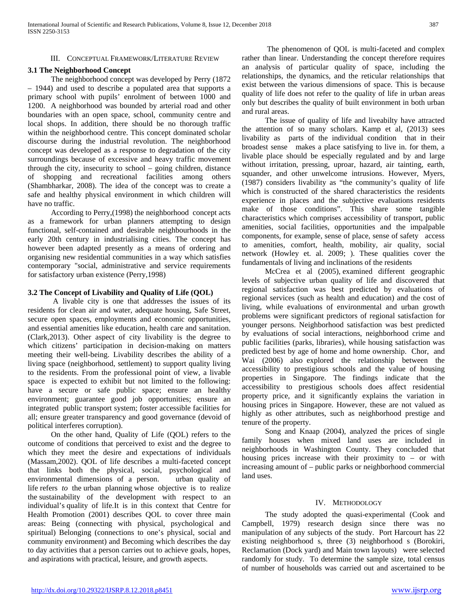### III. CONCEPTUAL FRAMEWORK/LITERATURE REVIEW

## **3.1 The Neighborhood Concept**

 The neighborhood concept was developed by Perry (1872 – 1944) and used to describe a populated area that supports a primary school with pupils' enrolment of between 1000 and 1200. A neighborhood was bounded by arterial road and other boundaries with an open space, school, community centre and local shops. In addition, there should be no thorough traffic within the neighborhood centre. This concept dominated scholar discourse during the industrial revolution. The neighborhood concept was developed as a response to degradation of the city surroundings because of excessive and heavy traffic movement through the city, insecurity to school – going children, distance of shopping and recreational facilities among others (Shambharkar, 2008). The idea of the concept was to create a safe and healthy physical environment in which children will have no traffic.

 According to Perry,(1998) the neighborhood concept acts as a framework for urban planners attempting to design functional, self-contained and desirable neighbourhoods in the early 20th century in industrialising cities. The concept has however been adapted presently as a means of ordering and organising new residential communities in a way which satisfies contemporary "social, administrative and service requirements for satisfactory urban existence (Perry,1998)

## **3.2 The Concept of Livability and Quality of Life (QOL)**

 A livable city is one that addresses the issues of its residents for clean air and water, adequate housing, Safe Street, secure open spaces, employments and economic opportunities, and essential amenities like education, health care and sanitation. (Clark,2013). Other aspect of city livability is the degree to which citizens' participation in decision-making on matters meeting their well-being. Livability describes the ability of a living space (neighborhood, settlement) to support quality living to the residents. From the professional point of view, a livable space is expected to exhibit but not limited to the following: have a secure or safe public space; ensure an healthy environment; guarantee good job opportunities; ensure an integrated public transport system; foster accessible facilities for all; ensure greater transparency and good governance (devoid of political interferes corruption).

 On the other hand, Quality of Life (QOL) refers to the outcome of conditions that perceived to exist and the degree to which they meet the desire and expectations of individuals (Massam,2002). QOL of life describes a multi-faceted concept that links both the physical, social, psychological and environmental dimensions of a person. urban quality of life refers *to* the urban planning whose objective is to realize the sustainability of the development with respect to an individual's quality of life*.*It is in this context that Centre for Health Promotion (2001) describes QOL to cover three main areas: Being (connecting with physical, psychological and spiritual) Belonging (connections to one's physical, social and community environment) and Becoming which describes the day to day activities that a person carries out to achieve goals, hopes, and aspirations with practical, leisure, and growth aspects.

 The phenomenon of QOL is multi-faceted and complex rather than linear. Understanding the concept therefore requires an analysis of particular quality of space, including the relationships, the dynamics, and the reticular relationships that exist between the various dimensions of space. This is because quality of life does not refer to the quality of life in urban areas only but describes the quality of built environment in both urban and rural areas.

 The issue of quality of life and liveabilty have attracted the attention of so many scholars. Kamp et al, (2013) sees livability as parts of the individual condition that in their broadest sense makes a place satisfying to live in. for them, a livable place should be especially regulated and by and large without irritation, pressing, uproar, hazard, air tainting, earth, squander, and other unwelcome intrusions. However, Myers, (1987) considers livability as "the community's quality of life which is constructed of the shared characteristics the residents experience in places and the subjective evaluations residents make of those conditions". This share some tangible characteristics which comprises accessibility of transport, public amenities, social facilities, opportunities and the impalpable components, for example, sense of place, sense of safety access to amenities, comfort, health, mobility, air quality, social network (Howley et. al. 2009; ). These qualities cover the fundamentals of living and inclinations of the residents

 McCrea et al (2005), examined different geographic levels of subjective urban quality of life and discovered that regional satisfaction was best predicted by evaluations of regional services (such as health and education) and the cost of living, while evaluations of environmental and urban growth problems were significant predictors of regional satisfaction for younger persons. Neighborhood satisfaction was best predicted by evaluations of social interactions, neighborhood crime and public facilities (parks, libraries), while housing satisfaction was predicted best by age of home and home ownership. Chor, and Wai (2006) also explored the relationship between the accessibility to prestigious schools and the value of housing properties in Singapore. The findings indicate that the accessibility to prestigious schools does affect residential property price, and it significantly explains the variation in housing prices in Singapore. However, these are not valued as highly as other attributes, such as neighborhood prestige and tenure of the property.

 Song and Knaap (2004), analyzed the prices of single family houses when mixed land uses are included in neighborhoods in Washington County. They concluded that housing prices increase with their proximity to – or with increasing amount of – public parks or neighborhood commercial land uses.

### IV. METHODOLOGY

 The study adopted the quasi-experimental (Cook and Campbell, 1979) research design since there was no manipulation of any subjects of the study. Port Harcourt has 22 existing neighborhood s, three (3) neighborhood s (Borokiri, Reclamation (Dock yard) and Main town layouts) were selected randomly for study. To determine the sample size, total census of number of households was carried out and ascertained to be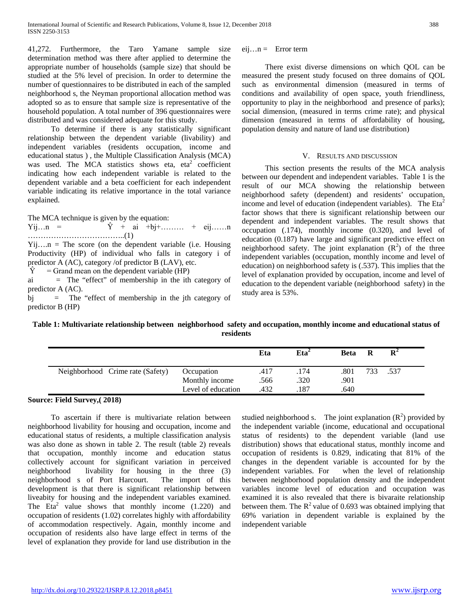41,272. Furthermore, the Taro Yamane sample size determination method was there after applied to determine the appropriate number of households (sample size) that should be studied at the 5% level of precision. In order to determine the number of questionnaires to be distributed in each of the sampled neighborhood s, the Neyman proportional allocation method was adopted so as to ensure that sample size is representative of the household population. A total number of 396 questionnaires were distributed and was considered adequate for this study.

 To determine if there is any statistically significant relationship between the dependent variable (livability) and independent variables (residents occupation, income and educational status ) , the Multiple Classification Analysis (MCA) was used. The MCA statistics shows eta, eta<sup>2</sup> coefficient indicating how each independent variable is related to the dependent variable and a beta coefficient for each independent variable indicating its relative importance in the total variance explained.

The MCA technique is given by the equation:

 $Yij...n = \hat{Y} + ai +bj+...... + eij......n$ ………………………………..(1)

 $Yii...n$  = The score (on the dependent variable (i.e. Housing Productivity (HP) of individual who falls in category i of predictor A (AC), category /of predictor B (LAV), etc.

 $\hat{Y}$  = Grand mean on the dependent variable (HP)

ai = The "effect" of membership in the ith category of predictor A (AC).

bj = The "effect of membership in the jth category of predictor B (HP)

 $eij...n =$  Error term

 There exist diverse dimensions on which QOL can be measured the present study focused on three domains of QOL such as environmental dimension (measured in terms of conditions and availability of open space, youth friendliness, opportunity to play in the neighborhood and presence of parks); social dimension, (measured in terms crime rate); and physical dimension (measured in terms of affordability of housing, population density and nature of land use distribution)

## V. RESULTS AND DISCUSSION

 This section presents the results of the MCA analysis between our dependent and independent variables. Table 1 is the result of our MCA showing the relationship between neighborhood safety (dependent) and residents' occupation, income and level of education (independent variables). The  $Eta^2$ factor shows that there is significant relationship between our dependent and independent variables. The result shows that occupation (.174), monthly income (0.320), and level of education (0.187) have large and significant predictive effect on neighborhood safety. The joint explanation  $(R^2)$  of the three independent variables (occupation, monthly income and level of education) on neighborhood safety is (.537). This implies that the level of explanation provided by occupation, income and level of education to the dependent variable (neighborhood safety) in the study area is 53%.

**Table 1: Multivariate relationship between neighborhood safety and occupation, monthly income and educational status of residents**

|                                  |                    | Eta  | Eta <sup>2</sup> | <b>Beta</b> | R   | $\mathbf{R}^2$ |  |
|----------------------------------|--------------------|------|------------------|-------------|-----|----------------|--|
| Neighborhood Crime rate (Safety) | Occupation         | .417 | .174             | .801        | 733 | .537           |  |
|                                  | Monthly income     | .566 | .320             | .901        |     |                |  |
|                                  | Level of education | 432  | 187              | .640        |     |                |  |

# **Source: Field Survey,( 2018)**

 To ascertain if there is multivariate relation between neighborhood livability for housing and occupation, income and educational status of residents, a multiple classification analysis was also done as shown in table 2. The result (table 2) reveals that occupation, monthly income and education status collectively account for significant variation in perceived neighborhood livability for housing in the three (3) neighborhood s of Port Harcourt. The import of this development is that there is significant relationship between liveabity for housing and the independent variables examined. The  $Eta<sup>2</sup>$  value shows that monthly income  $(1.220)$  and occupation of residents (1.02) correlates highly with affordability of accommodation respectively. Again, monthly income and occupation of residents also have large effect in terms of the level of explanation they provide for land use distribution in the

studied neighborhood s. The joint explanation  $(R^2)$  provided by the independent variable (income, educational and occupational status of residents) to the dependent variable (land use distribution) shows that educational status, monthly income and occupation of residents is 0.829, indicating that 81% of the changes in the dependent variable is accounted for by the independent variables. For when the level of relationship between neighborhood population density and the independent variables income level of education and occupation was examined it is also revealed that there is bivaraite relationship between them. The  $R^2$  value of 0.693 was obtained implying that 69% variation in dependent variable is explained by the independent variable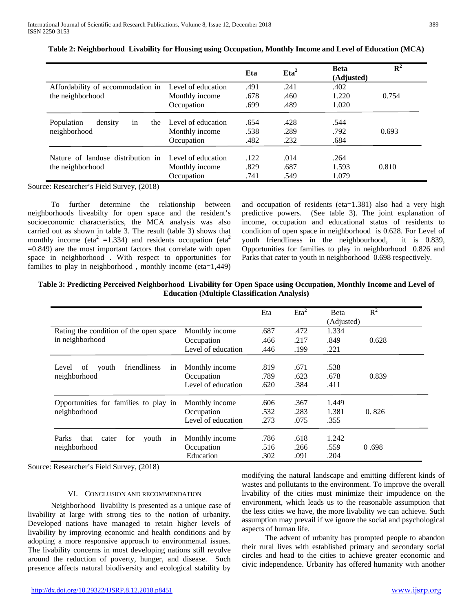|                                                       |                                      | Eta          | Eta <sup>2</sup> | <b>Beta</b><br>(Adjusted) | $\overline{\mathbf{R}^2}$ |
|-------------------------------------------------------|--------------------------------------|--------------|------------------|---------------------------|---------------------------|
| Affordability of accommodation in Level of education  |                                      | .491         | .241             | .402                      |                           |
| the neighborhood                                      | Monthly income                       | .678         | .460             | 1.220                     | 0.754                     |
|                                                       | Occupation                           | .699         | .489             | 1.020                     |                           |
| Population<br>density<br>the<br>in                    | Level of education                   | .654         | .428             | .544                      |                           |
| neighborhood                                          | Monthly income                       | .538         | .289             | .792                      | 0.693                     |
|                                                       | Occupation                           | .482         | .232             | .684                      |                           |
| Nature of landuse distribution in<br>the neighborhood | Level of education<br>Monthly income | .122<br>.829 | .014<br>.687     | .264<br>1.593             | 0.810                     |
|                                                       | Occupation                           | .741         | .549             | 1.079                     |                           |

**Table 2: Neighborhood Livability for Housing using Occupation, Monthly Income and Level of Education (MCA)**

Source: Researcher's Field Survey, (2018)

 To further determine the relationship between neighborhoods liveabilty for open space and the resident's socioeconomic characteristics, the MCA analysis was also carried out as shown in table 3. The result (table 3) shows that monthly income (eta<sup>2</sup> =1.334) and residents occupation (eta<sup>2</sup>  $=0.849$ ) are the most important factors that correlate with open space in neighborhood . With respect to opportunities for families to play in neighborhood, monthly income (eta=1,449) and occupation of residents (eta=1.381) also had a very high predictive powers. (See table 3). The joint explanation of income, occupation and educational status of residents to condition of open space in neighborhood is 0.628. For Level of youth friendliness in the neighbourhood, it is 0.839, Opportunities for families to play in neighborhood 0.826 and Parks that cater to youth in neighborhood 0.698 respectively.

| Table 3: Predicting Perceived Neighborhood Livability for Open Space using Occupation, Monthly Income and Level of |  |
|--------------------------------------------------------------------------------------------------------------------|--|
| <b>Education (Multiple Classification Analysis)</b>                                                                |  |

|                                              |                                  | Eta          | $E^2$        | Beta<br>(Adjusted) | $R^2$ |
|----------------------------------------------|----------------------------------|--------------|--------------|--------------------|-------|
| Rating the condition of the open space       | Monthly income                   | .687         | .472         | 1.334              |       |
| in neighborhood                              | Occupation                       | .466         | .217         | .849               | 0.628 |
|                                              | Level of education               | .446         | .199         | .221               |       |
| friendliness<br>Level<br>of<br>youth<br>in   | Monthly income                   | .819         | .671         | .538               |       |
| neighborhood                                 | Occupation<br>Level of education | .789<br>.620 | .623<br>.384 | .678<br>.411       | 0.839 |
| Opportunities for families to play in        | Monthly income                   | .606         | .367         | 1.449              |       |
| neighborhood                                 | Occupation                       | .532         | .283         | 1.381              | 0.826 |
|                                              | Level of education               | .273         | .075         | .355               |       |
| Parks<br>for<br>that<br>youth<br>cater<br>in | Monthly income                   | .786         | .618         | 1.242              |       |
| neighborhood                                 | Occupation                       | .516         | .266         | .559               | 0.698 |
|                                              | Education                        | .302         | .091         | .204               |       |

Source: Researcher's Field Survey, (2018)

# VI. CONCLUSION AND RECOMMENDATION

 Neighborhood livability is presented as a unique case of livability at large with strong ties to the notion of urbanity. Developed nations have managed to retain higher levels of livability by improving economic and health conditions and by adopting a more responsive approach to environmental issues. The livability concerns in most developing nations still revolve around the reduction of poverty, hunger, and disease. Such presence affects natural biodiversity and ecological stability by

modifying the natural landscape and emitting different kinds of wastes and pollutants to the environment. To improve the overall livability of the cities must minimize their impudence on the environment, which leads us to the reasonable assumption that the less cities we have, the more livability we can achieve. Such assumption may prevail if we ignore the social and psychological aspects of human life.

 The advent of urbanity has prompted people to abandon their rural lives with established primary and secondary social circles and head to the cities to achieve greater economic and civic independence. Urbanity has offered humanity with another